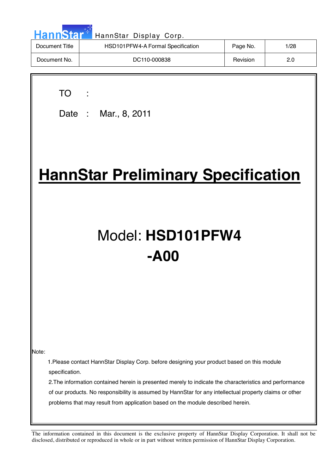| <b>HannStar</b> | HannStar Display Corp.            |          |      |
|-----------------|-----------------------------------|----------|------|
| Document Title  | HSD101PFW4-A Formal Specification | Page No. | 1/28 |
| Document No.    | DC110-000838                      | Revision | 2.0  |

TO :

 $\overline{\phantom{a}}$ 

Date : Mar., 8, 2011

# **HannStar Preliminary Specification**

# Model: **HSD101PFW4 -A00**

Note:

1.Please contact HannStar Display Corp. before designing your product based on this module specification.

2.The information contained herein is presented merely to indicate the characteristics and performance of our products. No responsibility is assumed by HannStar for any intellectual property claims or other problems that may result from application based on the module described herein.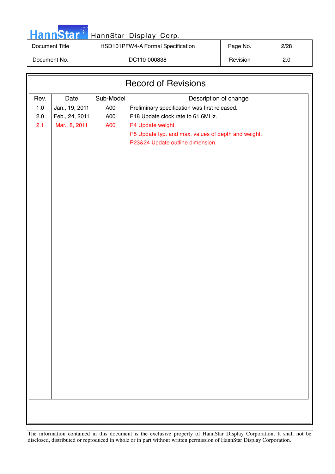|  | <b>HannStar</b> |  |
|--|-----------------|--|
|  |                 |  |

## HannStar Display Corp.

| Document Title | HSD101PFW4-A Formal Specification | Page No. | 2/28 |
|----------------|-----------------------------------|----------|------|
| Document No.   | DC110-000838                      | Revision | 2.0  |

| Sub-Model<br>Rev.<br>Date<br>Description of change<br>Preliminary specification was first released.<br>$1.0$<br>Jan., 19, 2011<br>A00<br>$2.0\,$<br>Feb., 24, 2011<br>A00<br>P18 Update clock rate to 61.6MHz.<br>2.1<br>Mar., 8, 2011<br>A00<br>P4 Update weight.<br>P5 Update typ. and max. values of depth and weight.<br>P23&24 Update outline dimension. | <b>Record of Revisions</b> |  |  |  |  |
|---------------------------------------------------------------------------------------------------------------------------------------------------------------------------------------------------------------------------------------------------------------------------------------------------------------------------------------------------------------|----------------------------|--|--|--|--|
|                                                                                                                                                                                                                                                                                                                                                               |                            |  |  |  |  |
|                                                                                                                                                                                                                                                                                                                                                               |                            |  |  |  |  |
|                                                                                                                                                                                                                                                                                                                                                               |                            |  |  |  |  |
|                                                                                                                                                                                                                                                                                                                                                               |                            |  |  |  |  |
|                                                                                                                                                                                                                                                                                                                                                               |                            |  |  |  |  |
|                                                                                                                                                                                                                                                                                                                                                               |                            |  |  |  |  |
|                                                                                                                                                                                                                                                                                                                                                               |                            |  |  |  |  |
|                                                                                                                                                                                                                                                                                                                                                               |                            |  |  |  |  |
|                                                                                                                                                                                                                                                                                                                                                               |                            |  |  |  |  |
|                                                                                                                                                                                                                                                                                                                                                               |                            |  |  |  |  |
|                                                                                                                                                                                                                                                                                                                                                               |                            |  |  |  |  |
|                                                                                                                                                                                                                                                                                                                                                               |                            |  |  |  |  |
|                                                                                                                                                                                                                                                                                                                                                               |                            |  |  |  |  |
|                                                                                                                                                                                                                                                                                                                                                               |                            |  |  |  |  |
|                                                                                                                                                                                                                                                                                                                                                               |                            |  |  |  |  |
|                                                                                                                                                                                                                                                                                                                                                               |                            |  |  |  |  |
|                                                                                                                                                                                                                                                                                                                                                               |                            |  |  |  |  |
|                                                                                                                                                                                                                                                                                                                                                               |                            |  |  |  |  |
|                                                                                                                                                                                                                                                                                                                                                               |                            |  |  |  |  |
|                                                                                                                                                                                                                                                                                                                                                               |                            |  |  |  |  |
|                                                                                                                                                                                                                                                                                                                                                               |                            |  |  |  |  |
|                                                                                                                                                                                                                                                                                                                                                               |                            |  |  |  |  |
|                                                                                                                                                                                                                                                                                                                                                               |                            |  |  |  |  |
|                                                                                                                                                                                                                                                                                                                                                               |                            |  |  |  |  |
|                                                                                                                                                                                                                                                                                                                                                               |                            |  |  |  |  |
|                                                                                                                                                                                                                                                                                                                                                               |                            |  |  |  |  |
|                                                                                                                                                                                                                                                                                                                                                               |                            |  |  |  |  |
|                                                                                                                                                                                                                                                                                                                                                               |                            |  |  |  |  |
|                                                                                                                                                                                                                                                                                                                                                               |                            |  |  |  |  |
|                                                                                                                                                                                                                                                                                                                                                               |                            |  |  |  |  |
|                                                                                                                                                                                                                                                                                                                                                               |                            |  |  |  |  |
|                                                                                                                                                                                                                                                                                                                                                               |                            |  |  |  |  |
|                                                                                                                                                                                                                                                                                                                                                               |                            |  |  |  |  |
|                                                                                                                                                                                                                                                                                                                                                               |                            |  |  |  |  |
|                                                                                                                                                                                                                                                                                                                                                               |                            |  |  |  |  |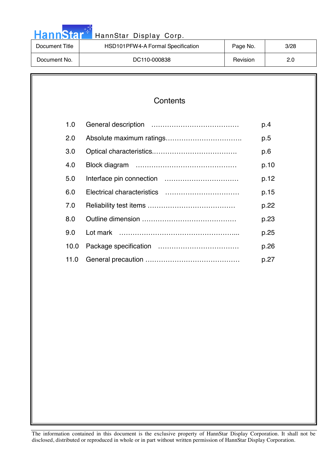| HannStar 1<br>HannStar Display Corp. |                                   |          |      |  |
|--------------------------------------|-----------------------------------|----------|------|--|
| Document Title                       | HSD101PFW4-A Formal Specification | Page No. | 3/28 |  |
| Document No.                         | DC110-000838                      | Revision | 2.0  |  |

والمرادي

| Contents |
|----------|
|----------|

| 1.0  | p.4  |
|------|------|
| 2.0  | p.5  |
| 3.0  | p.6  |
| 4.0  | p.10 |
| 5.0  | p.12 |
| 6.0  | p.15 |
| 7.0  | p.22 |
| 8.0  | p.23 |
| 9.0  | p.25 |
| 10.0 | p.26 |
| 11.0 | p.27 |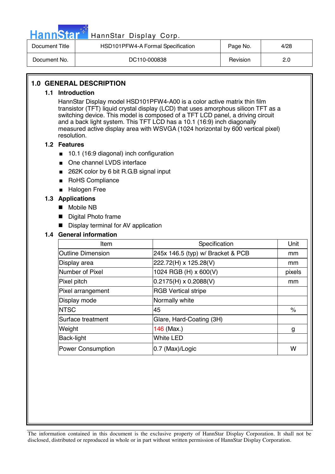

| Document Title | HSD101PFW4-A Formal Specification | Page No. | 4/28 |
|----------------|-----------------------------------|----------|------|
| Document No.   | DC110-000838                      | Revision | 2.0  |

#### **1.0 GENERAL DESCRIPTION**

#### **1.1 Introduction**

HannStar Display model HSD101PFW4-A00 is a color active matrix thin film transistor (TFT) liquid crystal display (LCD) that uses amorphous silicon TFT as a switching device. This model is composed of a TFT LCD panel, a driving circuit and a back light system. This TFT LCD has a 10.1 (16:9) inch diagonally measured active display area with WSVGA (1024 horizontal by 600 vertical pixel) resolution.

#### **1.2 Features**

- 10.1 (16:9 diagonal) inch configuration
- One channel LVDS interface
- 262K color by 6 bit R.G.B signal input
- RoHS Compliance
- Halogen Free

#### **1.3 Applications**

- Mobile NB
- **Digital Photo frame**
- **Display terminal for AV application**

#### **1.4 General information**

| Item                     | Specification                     | Unit   |
|--------------------------|-----------------------------------|--------|
| <b>Outline Dimension</b> | 245x 146.5 (typ) w/ Bracket & PCB | mm     |
| Display area             | 222.72(H) x 125.28(V)             | mm     |
| Number of Pixel          | 1024 RGB (H) x 600(V)             | pixels |
| Pixel pitch              | $0.2175(H) \times 0.2088(V)$      | mm     |
| Pixel arrangement        | <b>RGB Vertical stripe</b>        |        |
| Display mode             | Normally white                    |        |
| <b>NTSC</b>              | 45                                | $\%$   |
| Surface treatment        | Glare, Hard-Coating (3H)          |        |
| Weight                   | $146$ (Max.)                      | g      |
| <b>Back-light</b>        | <b>White LED</b>                  |        |
| <b>Power Consumption</b> | 0.7 (Max)/Logic                   | W      |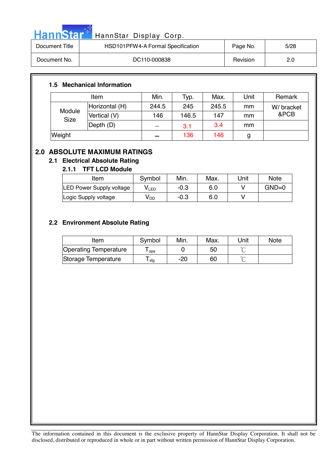| HannStar <sup>*</sup> | HannStar Display Corp.            |          |      |
|-----------------------|-----------------------------------|----------|------|
| Document Title        | HSD101PFW4-A Formal Specification | Page No. | 5/28 |

| Document Title | HODTUTPFW4-A FORMal Specification | Page No. | 5/28 |
|----------------|-----------------------------------|----------|------|
| Document No.   | DC110-000838                      | Revision |      |

#### **1.5 Mechanical Information**

m.

| Item                  |                | Min.  | Typ.  | Max.  | Unit | Remark     |
|-----------------------|----------------|-------|-------|-------|------|------------|
|                       | Horizontal (H) | 244.5 | 245   | 245.5 | mm   | W/ bracket |
| Module<br><b>Size</b> | Vertical (V)   | 146   | 146.5 | 147   | mm   | &PCB       |
|                       | Depth (D)      |       | 3.1   | 3.4   | mm   |            |
| Weight                |                |       | 136   | 146   | g    |            |

### **2.0 ABSOLUTE MAXIMUM RATINGS**

### **2.1 Electrical Absolute Rating**

### **2.1.1 TFT LCD Module**

| Item                     | Symbol | Min.   | Max. | Unit | <b>Note</b> |
|--------------------------|--------|--------|------|------|-------------|
| LED Power Supply voltage | V∟ED   | -0.3   | 6.0  |      | $GND=0$     |
| Logic Supply voltage     | V DD   | $-0.3$ | 6.0  |      |             |

### **2.2 Environment Absolute Rating**

| Item                         | Symbol | Min. | Max. | Unit   | <b>Note</b> |
|------------------------------|--------|------|------|--------|-------------|
| <b>Operating Temperature</b> | opa    |      | 50   | $\sim$ |             |
| Storage Temperature          | l stq  | -20  | 60   | $\sim$ |             |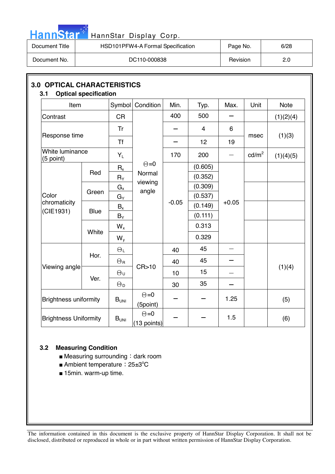

| Document Title | HSD101PFW4-A Formal Specification | Page No. | 6/28 |
|----------------|-----------------------------------|----------|------|
| Document No.   | DC110-000838                      | Revision | 2.0  |

| Item                         |             |                       | Symbol Condition            | Min.    | Typ.           | Max.    | Unit            | <b>Note</b> |
|------------------------------|-------------|-----------------------|-----------------------------|---------|----------------|---------|-----------------|-------------|
| Contrast                     |             | <b>CR</b>             |                             | 400     | 500            |         |                 | (1)(2)(4)   |
|                              |             | Tr                    |                             |         | $\overline{4}$ | 6       |                 |             |
| Response time                |             | <b>Tf</b>             |                             |         | 12             | 19      | (1)(3)<br>msec  |             |
| White luminance<br>(5 point) |             | $Y_L$                 |                             | 170     | 200            |         | $\text{cd/m}^2$ | (1)(4)(5)   |
|                              |             | $R_{x}$               | $\Theta = 0$                |         | (0.605)        |         |                 |             |
|                              | Red         | $R_Y$                 | Normal<br>viewing<br>angle  |         | (0.352)        |         |                 |             |
|                              |             | $G_{x}$               |                             |         | (0.309)        |         |                 |             |
| Color<br>chromaticity        | Green       | $G_Y$                 |                             |         | (0.537)        |         |                 |             |
|                              | <b>Blue</b> | $B_x$                 |                             | $-0.05$ | (0.149)        | $+0.05$ |                 |             |
| (CIE1931)                    |             | $B_Y$                 |                             |         | (0.111)        |         |                 |             |
|                              | White       | $W_{x}$               |                             |         | 0.313          |         |                 |             |
|                              |             | $W_{y}$               |                             |         | 0.329          |         |                 |             |
|                              | Hor.        | $\Theta_L$            |                             | 40      | 45             |         |                 |             |
|                              |             | $\Theta_{\rm R}$      |                             | 40      | 45             |         |                 |             |
| Viewing angle                |             | $\Theta_{\sf U}$      | CR>10                       | 10      | 15             |         |                 | (1)(4)      |
|                              | Ver.        | $\Theta_{\mathsf{D}}$ |                             | 30      | 35             |         |                 |             |
| <b>Brightness uniformity</b> |             | $B_{UNI}$             | $\Theta = 0$<br>(5point)    |         |                | 1.25    |                 | (5)         |
| <b>Brightness Uniformity</b> |             | B <sub>UNI</sub>      | $\Theta = 0$<br>(13 points) |         |                | 1.5     |                 | (6)         |

#### **3.2 Measuring Condition**

- $\blacksquare$  Measuring surrounding : dark room
- Ambient temperature: 25±3°C
- 15min. warm-up time.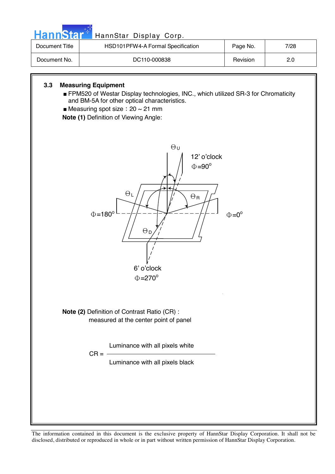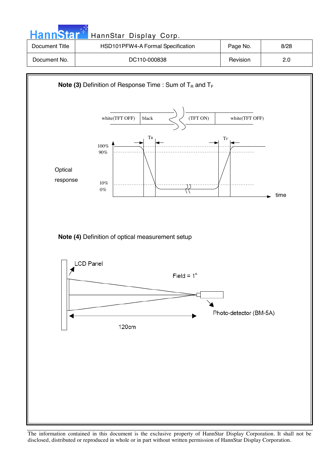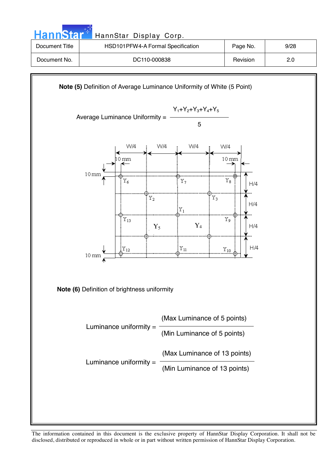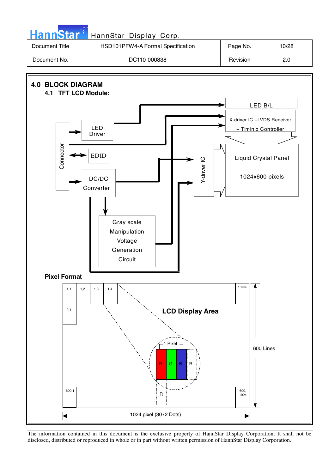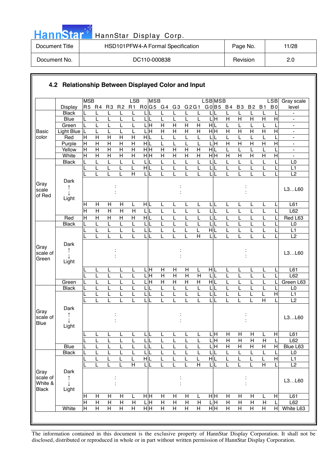| HannStar <sup>+</sup> | HannStar Display Corp.            |          |       |
|-----------------------|-----------------------------------|----------|-------|
| Document Title        | HSD101PFW4-A Formal Specification | Page No. | 11/28 |
| Document No.          | DC110-000838                      | Revision | 2.0   |

والمرادي

|                                             |                    | <b>MSB</b>              |                         |                                  |                                  | LSB                                     | <b>MSB</b>                  |                     |                     |                              |                         | LSB <sub>MSB</sub>           |                     |                         |                                |                                | <b>LSB</b>          | Gray scale                                           |
|---------------------------------------------|--------------------|-------------------------|-------------------------|----------------------------------|----------------------------------|-----------------------------------------|-----------------------------|---------------------|---------------------|------------------------------|-------------------------|------------------------------|---------------------|-------------------------|--------------------------------|--------------------------------|---------------------|------------------------------------------------------|
|                                             | <b>Display</b>     |                         | R5 R4                   | R <sub>3</sub>                   | R <sub>2</sub>                   | R1                                      | R0G5 G4 G3                  |                     |                     | G2G1                         |                         | G0 B5 B4                     |                     | B <sub>3</sub>          | B 2                            | <b>B1</b>                      | B <sub>0</sub>      | level                                                |
|                                             | <b>Black</b>       |                         | L                       | L                                | L                                | L                                       |                             | L                   |                     | L                            | L                       | L                            |                     | L                       | L                              | L                              |                     |                                                      |
|                                             | Blue               | L                       | L                       | L                                | L                                | L                                       | LL                          | L                   | L                   | L                            | L                       | $\overline{\mathbf{H}}$      | $\overline{H}$      | $\overline{\mathsf{H}}$ | $\overline{H}$                 | $\overline{H}$                 | $\overline{H}$      | $\blacksquare$                                       |
|                                             | Green              |                         | L                       | L                                |                                  |                                         | $\frac{1}{\text{H}}$        | $\overline{H}$      | $\overline{H}$      | $\overline{H}$               | $\overline{H}$          | $\frac{1}{\sqrt{2}}$         |                     |                         | L                              |                                |                     |                                                      |
| <b>Basic</b>                                | <b>Light Blue</b>  | Г                       | L                       | L                                |                                  | L                                       | $\overline{\mathsf{H}}$     | $\overline{H}$      | $\overline{H}$      | $\overline{H}$               | $\overline{H}$          | H H                          | $\overline{H}$      | $\overline{H}$          | $\overline{H}$                 | $\overline{H}$                 | $\overline{H}$      | $\blacksquare$                                       |
| color                                       | Red<br>Purple      | Η<br>$\mathsf{H}$       | H<br>$\overline{H}$     | $\overline{H}$<br>$\overline{H}$ | $\overline{H}$<br>$\overline{H}$ | $\mathsf{H}$<br>$\overline{\mathsf{H}}$ | $\frac{1}{\sqrt{2}}$<br>H L | L<br>L              | L<br>L              | L                            | L<br>L                  | $\mathsf L$<br>딝             | L<br>$\overline{H}$ | L<br>$\overline{H}$     | L<br>$\overline{H}$            | L<br>$\overline{H}$            | L<br>$\overline{H}$ | $\overline{\phantom{a}}$                             |
|                                             | Yellow             | Ε                       | $\overline{H}$          | $\overline{H}$                   | $\overline{H}$                   | $\overline{H}$                          | H H                         | $\overline{H}$      | $\overline{H}$      | L<br>$\overline{\mathsf{H}}$ | $\overline{H}$          | H L                          | L                   | L                       | L                              | L                              |                     | $\overline{\phantom{0}}$<br>$\overline{\phantom{a}}$ |
|                                             | White              | H                       | H                       | $\overline{\mathsf{H}}$          | $\overline{\mathsf{H}}$          | $\overline{\mathsf{H}}$                 | H H                         | $\overline{H}$      | Η                   | $\overline{H}$               | $\overline{\mathsf{H}}$ | $\overline{H}$ H             | $\overline{H}$      | Η                       | $\overline{H}$                 | $\overline{H}$                 | $\overline{H}$      |                                                      |
|                                             | <b>Black</b>       | L                       | L                       | L                                | L                                | L                                       | ЦL                          | L                   | L                   | L                            | L                       | L                            | L                   |                         | L                              | L                              |                     | L <sub>0</sub>                                       |
|                                             |                    | L                       | L                       | L                                | L                                | L                                       | HL                          | L                   | L                   | L                            | Г                       | L L                          | L                   | L                       | L                              | L                              |                     | L1                                                   |
|                                             |                    |                         | L                       | L                                | L                                | H                                       | LШ                          | L                   |                     | L                            | L                       | LIL                          | L                   | L                       | L                              | L                              |                     | L2                                                   |
| Gray<br>scale                               | Dark               |                         |                         |                                  |                                  |                                         |                             |                     |                     |                              |                         |                              |                     |                         |                                |                                |                     | L3L60                                                |
| of Red                                      | Light              |                         |                         |                                  |                                  |                                         |                             |                     |                     |                              |                         |                              |                     |                         |                                |                                |                     |                                                      |
|                                             |                    | H                       | H                       | H                                | Н                                | L                                       | HIL                         | L                   | L                   | L                            | L                       | LL                           | L                   | L                       | L                              | L                              |                     | L61                                                  |
|                                             |                    | $\overline{\mathsf{H}}$ | $\overline{\mathsf{H}}$ | $\overline{\mathsf{H}}$          | $\overline{\mathsf{H}}$          | $\overline{\mathsf{H}}$                 | L L                         | L                   | L                   | L                            | L                       | L                            | L                   | L                       | L                              | L                              |                     | L62                                                  |
|                                             | Red                | $\overline{H}$          | $\overline{H}$          | $\overline{\mathsf{H}}$          | $\overline{\mathsf{H}}$          | $\overline{H}$                          | H L                         | L                   | L                   | L                            | L                       | L                            | L                   | L                       | L                              | L                              |                     | Red L63                                              |
|                                             | <b>Black</b>       | L                       | L<br>L                  | L<br>L                           | L<br>L                           | L<br>L                                  | LL<br>LIL                   | L<br>L              | L<br>L              | L                            | L<br>L                  | L<br>НL                      | L                   | L<br>L                  | L<br>L                         | L<br>L                         |                     | L0<br>L1                                             |
|                                             |                    |                         | L                       | L                                |                                  | L                                       | ЦL                          | L                   | L                   | L                            | $\overline{H}$          | LIL                          | L<br>L              | L                       | L                              | L                              |                     | $\overline{L2}$                                      |
| Gray<br>scale of<br>Green                   | Dark<br>Light      |                         |                         |                                  |                                  |                                         |                             |                     |                     |                              |                         |                              |                     |                         |                                |                                |                     | L3L60                                                |
|                                             |                    |                         | L                       | L                                |                                  |                                         | H.                          | Н                   | Н                   | $\mathsf{H}$                 | L                       | HL                           | L                   | L                       | L                              | L                              |                     | L61                                                  |
|                                             |                    |                         | L                       | L                                | L                                | L                                       | .Ē                          | $\overline{H}$      | $\overline{H}$      | $\overline{H}$               | $\overline{H}$          | $\mathsf L$                  | L                   | L                       | L                              | L                              | L                   | L62                                                  |
|                                             | Green              |                         | L                       | L                                | L                                | L                                       | $\frac{1}{\text{H}}$        | H                   | $\overline{H}$      | H                            | $\overline{H}$          | H L                          | L                   | L                       | L                              | L                              |                     | Green L63                                            |
|                                             | <b>Black</b>       |                         | L                       | L                                |                                  | L                                       | 니                           | L                   | L                   | L                            | Г                       | $\Box$                       |                     |                         | L                              |                                |                     | L0                                                   |
|                                             |                    |                         | L                       | L                                |                                  | L                                       | LIL                         | L                   |                     | L                            | Г                       | L                            | L                   |                         | L                              | L                              | $\overline{H}$      | L1                                                   |
|                                             |                    |                         | L                       | L                                |                                  |                                         | LIL                         | L                   | L                   |                              | L                       | $\overline{\phantom{a}}$     |                     | L                       | L                              | $\overline{H}$                 |                     | $\overline{L2}$                                      |
| Gray<br>scale of<br><b>Blue</b>             | Dark<br>Light      |                         |                         |                                  |                                  |                                         |                             |                     |                     |                              |                         |                              |                     |                         |                                |                                |                     | L3L60                                                |
|                                             |                    |                         | L                       | L,                               | ц                                | ட                                       | L L                         | ட                   | ட                   | ┗                            | ட                       | $\overline{\mathsf{L}}$ H    | $\overline{H}$      | $\overline{H}$          | $\overline{H}$                 | L                              | $\overline{1}$      | L61                                                  |
|                                             |                    | Ē                       | L                       | L                                |                                  | L                                       | LL                          | L                   | L                   | L                            | L                       | LН                           | $\mathsf{H}$        | $\mathsf{H}$            | H                              | $\overline{H}$                 | $\mathsf{I}$        | L62                                                  |
|                                             | Blue               | L                       | L                       | L                                |                                  | L                                       | LIL                         | L                   |                     | L                            | L                       | LН                           | $\overline{H}$      | H                       | $\overline{H}$                 | Н                              | H                   | Blue L63                                             |
|                                             | <b>Black</b>       |                         | L                       | L                                |                                  | L                                       | LL                          | L                   |                     | L                            | L                       | Γ                            | L                   | L                       | L                              | L                              |                     | L0                                                   |
|                                             |                    |                         |                         | L                                |                                  | Г                                       | H L                         | L                   |                     | L                            | L                       | НL                           | L                   | L                       | L                              | L                              | $\overline{H}$      | L1                                                   |
|                                             |                    |                         |                         |                                  |                                  | $\overline{H}$                          | LI                          |                     |                     |                              | $\overline{\mathsf{H}}$ |                              |                     |                         |                                | $\overline{H}$                 |                     | $\overline{L2}$                                      |
| Gray<br>scale of<br>White &<br><b>Black</b> | Dark<br>↑<br>Light |                         |                         |                                  |                                  |                                         |                             |                     |                     |                              |                         |                              |                     |                         |                                |                                |                     | L3L60                                                |
|                                             |                    |                         |                         |                                  |                                  |                                         |                             |                     |                     |                              |                         |                              |                     |                         |                                |                                |                     |                                                      |
|                                             |                    | Н<br>$\overline{H}$     | Н<br>$\overline{H}$     | H<br>$\overline{H}$              | Н<br>$\overline{H}$              | L<br>$\overline{H}$                     | нH<br>듴                     | Н<br>$\overline{H}$ | Н<br>$\overline{H}$ | H<br>$\overline{H}$          | L<br>$\overline{H}$     | нĮн<br>$\frac{}{\mathsf{H}}$ | H<br>$\overline{H}$ | Н<br>$\overline{H}$     | $\mathsf{H}$<br>$\overline{H}$ |                                | $\mathsf{H}$        | L61<br>L62                                           |
|                                             | White              | $\overline{H}$          | $\overline{H}$          | $\overline{H}$                   | $\overline{H}$                   | $\overline{H}$                          | H H                         | $\overline{H}$      | $\overline{H}$      | $\overline{H}$               | Η                       | H H                          | $\overline{H}$      | H                       | $\overline{H}$                 | $\mathsf{H}$<br>$\overline{H}$ | $\overline{H}$      | White L63                                            |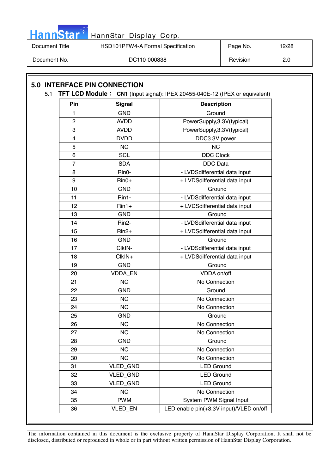

| Document Title | HSD101PFW4-A Formal Specification | Page No. | 12/28 |
|----------------|-----------------------------------|----------|-------|
| Document No.   | DC110-000838                      | Revision | 2.0   |

| Pin            | <b>Signal</b>      | <b>Description</b>                      |
|----------------|--------------------|-----------------------------------------|
| 1              | <b>GND</b>         | Ground                                  |
| $\overline{2}$ | <b>AVDD</b>        | PowerSupply, 3.3V(typical)              |
| 3              | <b>AVDD</b>        | PowerSupply, 3.3V(typical)              |
| 4              | <b>DVDD</b>        | DDC3.3V power                           |
| 5              | <b>NC</b>          | <b>NC</b>                               |
| 6              | <b>SCL</b>         | <b>DDC Clock</b>                        |
| 7              | <b>SDA</b>         | <b>DDC</b> Data                         |
| 8              | Rin0-              | - LVDSdifferential data input           |
| 9              | $Rin0+$            | + LVDSdifferential data input           |
| 10             | <b>GND</b>         | Ground                                  |
| 11             | Rin1-              | - LVDSdifferential data input           |
| 12             | $Rin1+$            | + LVDSdifferential data input           |
| 13             | <b>GND</b>         | Ground                                  |
| 14             | Rin <sub>2</sub> - | - LVDSdifferential data input           |
| 15             | $Rin2+$            | + LVDSdifferential data input           |
| 16             | <b>GND</b>         | Ground                                  |
| 17             | CIkIN-             | - LVDSdifferential data input           |
| 18             | CIkIN+             | + LVDSdifferential data input           |
| 19             | <b>GND</b>         | Ground                                  |
| 20             | VDDA_EN            | VDDA on/off                             |
| 21             | <b>NC</b>          | No Connection                           |
| 22             | <b>GND</b>         | Ground                                  |
| 23             | <b>NC</b>          | No Connection                           |
| 24             | <b>NC</b>          | No Connection                           |
| 25             | <b>GND</b>         | Ground                                  |
| 26             | <b>NC</b>          | No Connection                           |
| 27             | <b>NC</b>          | No Connection                           |
| 28             | <b>GND</b>         | Ground                                  |
| 29             | <b>NC</b>          | No Connection                           |
| 30             | <b>NC</b>          | No Connection                           |
| 31             | VLED_GND           | <b>LED Ground</b>                       |
| 32             | <b>VLED GND</b>    | <b>LED Ground</b>                       |
| 33             | VLED_GND           | <b>LED Ground</b>                       |
| 34             | <b>NC</b>          | No Connection                           |
| 35             | <b>PWM</b>         | System PWM Signal Input                 |
| 36             | VLED_EN            | LED enable pin(+3.3V input)/VLED on/off |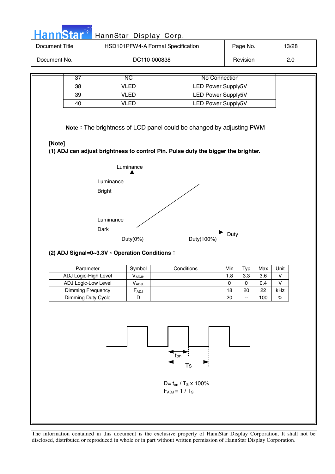| Document No.<br>$\overline{37}$<br>38<br>39<br>40 | <b>VLED</b> | DC110-000838            |                                                               |                                                                          | Page No.        |           | 13/28                                                                                                                                                    |  |
|---------------------------------------------------|-------------|-------------------------|---------------------------------------------------------------|--------------------------------------------------------------------------|-----------------|-----------|----------------------------------------------------------------------------------------------------------------------------------------------------------|--|
|                                                   |             |                         |                                                               |                                                                          | Revision        |           | 2.0                                                                                                                                                      |  |
|                                                   |             |                         |                                                               |                                                                          |                 |           |                                                                                                                                                          |  |
|                                                   |             | $\overline{\text{NC}}$  |                                                               | <b>No Connection</b>                                                     |                 |           |                                                                                                                                                          |  |
|                                                   |             |                         |                                                               | <b>LED Power Supply5V</b>                                                |                 |           |                                                                                                                                                          |  |
|                                                   |             | <b>VLED</b>             | <b>LED Power Supply5V</b>                                     |                                                                          |                 |           |                                                                                                                                                          |  |
|                                                   |             | <b>VLED</b>             | <b>LED Power Supply5V</b>                                     |                                                                          |                 |           |                                                                                                                                                          |  |
| [Note]                                            |             |                         |                                                               |                                                                          |                 |           |                                                                                                                                                          |  |
|                                                   |             |                         |                                                               |                                                                          |                 |           |                                                                                                                                                          |  |
|                                                   |             |                         |                                                               |                                                                          |                 |           |                                                                                                                                                          |  |
|                                                   |             |                         |                                                               |                                                                          |                 |           |                                                                                                                                                          |  |
|                                                   |             |                         |                                                               |                                                                          |                 |           |                                                                                                                                                          |  |
|                                                   |             |                         |                                                               |                                                                          |                 |           |                                                                                                                                                          |  |
|                                                   |             |                         |                                                               |                                                                          |                 |           |                                                                                                                                                          |  |
|                                                   |             |                         |                                                               |                                                                          |                 |           |                                                                                                                                                          |  |
|                                                   |             |                         |                                                               |                                                                          |                 |           |                                                                                                                                                          |  |
|                                                   |             |                         |                                                               |                                                                          |                 |           |                                                                                                                                                          |  |
|                                                   | Parameter   |                         |                                                               | Min                                                                      | Typ             | Max       | Unit                                                                                                                                                     |  |
| ADJ Logic-High Level                              |             |                         |                                                               |                                                                          | 3.3             |           |                                                                                                                                                          |  |
|                                                   |             | $V_{ADJH}$              |                                                               |                                                                          |                 | 3.6       | $\mathsf{V}$                                                                                                                                             |  |
| ADJ Logic-Low Level<br>Dimming Frequency          |             | $V_{ADJL}$<br>$F_{ADJ}$ |                                                               | $\pmb{0}$<br>18                                                          | $\pmb{0}$<br>20 | 0.4<br>22 | V<br>kHz                                                                                                                                                 |  |
|                                                   |             | <b>Bright</b><br>Dark   | Luminance<br>Luminance<br>Luminance<br>Duty $(0\%)$<br>Symbol | Duty(100%)<br>(2) ADJ Signal=0~3.3V, Operation Conditions:<br>Conditions | $1.8$           | Duty      | Note: The brightness of LCD panel could be changed by adjusting PWM<br>(1) ADJ can adjust brightness to control Pin. Pulse duty the bigger the brighter. |  |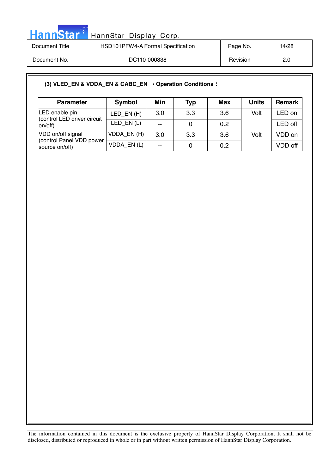

| Document Title | HSD101PFW4-A Formal Specification | Page No. | 14/28 |
|----------------|-----------------------------------|----------|-------|
| Document No.   | DC110-000838                      | Revision | 2.0   |

#### (3) VLED\_EN & VDDA\_EN & CABC\_EN > Operation Conditions :

| <b>Parameter</b>                              | Symbol       | Min   | <b>Typ</b> | <b>Max</b> | <b>Units</b> | <b>Remark</b> |
|-----------------------------------------------|--------------|-------|------------|------------|--------------|---------------|
| LED enable pin<br>(control LED driver circuit | LED EN $(H)$ | 3.0   | 3.3        | 3.6        | Volt         | _ED on        |
| on/off)                                       | LED_EN(L)    | $- -$ |            | 0.2        |              | LED off       |
| VDD on/off signal<br>(control Panel VDD power | VDDA_EN(H)   | 3.0   | 3.3        | 3.6        | Volt         | VDD on        |
| source on/off)                                | VDDA_EN(L)   | $-$   |            | 0.2        |              | VDD off       |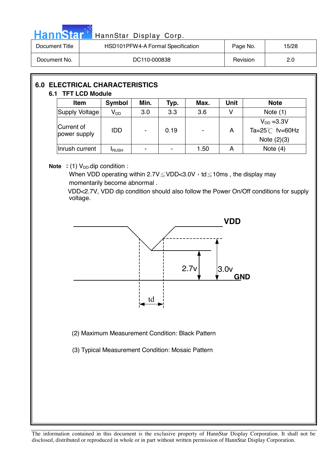|                | HannStar*                                                   | HannStar Display Corp.                        |              |      |      |             |                                              |  |  |  |
|----------------|-------------------------------------------------------------|-----------------------------------------------|--------------|------|------|-------------|----------------------------------------------|--|--|--|
| Document Title |                                                             | HSD101PFW4-A Formal Specification<br>Page No. |              |      |      |             | 15/28                                        |  |  |  |
| Document No.   |                                                             |                                               | DC110-000838 |      |      |             | Revision<br>2.0                              |  |  |  |
|                | <b>6.0 ELECTRICAL CHARACTERISTICS</b><br>6.1 TFT LCD Module |                                               |              |      |      |             |                                              |  |  |  |
|                | <b>Item</b>                                                 | Symbol                                        | Min.         | Typ. | Max. | <b>Unit</b> | <b>Note</b>                                  |  |  |  |
|                | Supply Voltage                                              | $V_{DD}$                                      | 3.0          | 3.3  | 3.6  | V           | Note $(1)$                                   |  |  |  |
|                | Current of<br>power supply                                  | <b>IDD</b>                                    |              | 0.19 |      | A           | $V_{DD}$ =3.3V<br>Ta= $25^{\circ}$ C fv=60Hz |  |  |  |

**Note** : (1)  $V_{DD}$ -dip condition :

When VDD operating within  $2.7V \leq VDD < 3.0V$ , td  $\leq 10$ ms, the display may momentarily become abnormal .

Inrush current  $\vert$  I<sub>RUSH</sub>  $\vert$  -  $\vert$  -  $\vert$  1.50  $\vert$  A  $\vert$  Note (4)

VDD<2.7V, VDD dip condition should also follow the Power On/Off conditions for supply voltage.

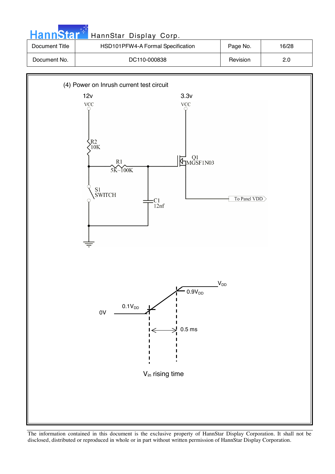| HannStar*      | HannStar Display Corp.            |          |       |
|----------------|-----------------------------------|----------|-------|
| Document Title | HSD101PFW4-A Formal Specification | Page No. | 16/28 |
| Document No.   | DC110-000838                      | Revision | 2.0   |

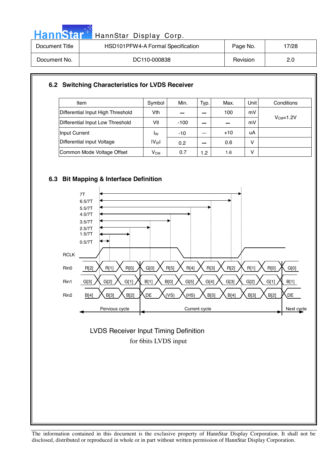| HannStar <sup>*</sup> | HannStar Display Corp.            |          |       |
|-----------------------|-----------------------------------|----------|-------|
| Document Title        | HSD101PFW4-A Formal Specification | Page No. | 17/28 |
| Document No.          | DC110-000838                      | Revision | 2.0   |

#### **6.2 Switching Characteristics for LVDS Receiver**

| Item                              | Symbol             | Min.   | Typ. | Max.  | <b>Unit</b> | Conditions |
|-----------------------------------|--------------------|--------|------|-------|-------------|------------|
| Differential Input High Threshold | Vth                |        |      | 100   | mV          | $VCM=1.2V$ |
| Differential Input Low Threshold  | Vtl                | $-100$ |      |       | mV          |            |
| Input Current                     | <b>I</b> IN        | $-10$  |      | $+10$ | uA          |            |
| Differential input Voltage        | IV <sub>ID</sub> I | 0.2    |      | 0.6   | v           |            |
| Common Mode Voltage Offset        | $V_{CM}$           | 0.7    | 1.2  | 1.6   | v           |            |

#### **6.3 Bit Mapping & Interface Definition**



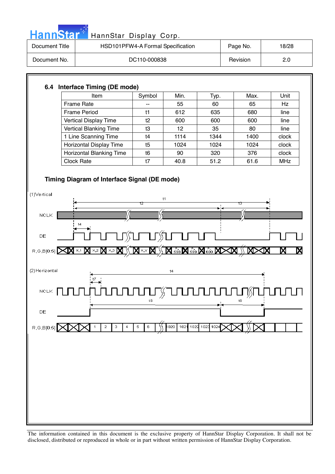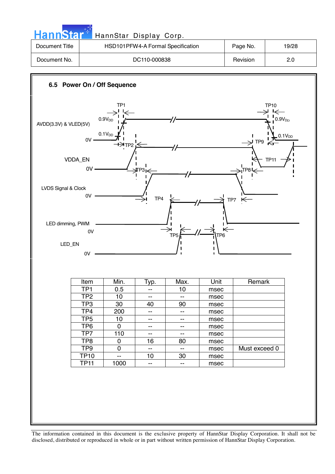|                                                                                                                                                                                                  |                         | HannStar Display Corp.   |                                                      |                                   |              |                         |             |
|--------------------------------------------------------------------------------------------------------------------------------------------------------------------------------------------------|-------------------------|--------------------------|------------------------------------------------------|-----------------------------------|--------------|-------------------------|-------------|
| Document Title                                                                                                                                                                                   |                         |                          |                                                      | HSD101PFW4-A Formal Specification |              | Page No.                | 19/28       |
| Document No.                                                                                                                                                                                     |                         |                          | DC110-000838                                         |                                   |              | Revision                | 2.0         |
|                                                                                                                                                                                                  |                         |                          |                                                      |                                   |              |                         |             |
| 6.5 Power On / Off Sequence                                                                                                                                                                      |                         |                          |                                                      |                                   |              |                         |             |
| TP <sub>1</sub><br><b>TP10</b><br>$\mapsto$<br>$0.9V_{\text{DD}}$<br>0.9V <sub>DD</sub><br>AVDD(3.3V) & VLED(5V)<br>$0.1V_{DD}$<br>0.1V <sub>DD</sub><br>0V<br>$\rightarrow$ TP9<br>ι←π<br>+∋тр2 |                         |                          |                                                      |                                   |              |                         |             |
| VDDA_EN                                                                                                                                                                                          |                         |                          |                                                      |                                   |              |                         | <b>TP11</b> |
|                                                                                                                                                                                                  | $0V -$                  |                          | УГРЗ∣ <mark>&lt;</mark>                              |                                   |              | $P8 \rightleftharpoons$ |             |
| LVDS Signal & Clock                                                                                                                                                                              | 0V                      |                          | TP4                                                  |                                   |              | TP7 $K$                 |             |
| LED dimming, PWM                                                                                                                                                                                 |                         |                          |                                                      |                                   |              |                         |             |
|                                                                                                                                                                                                  | 0V                      |                          |                                                      |                                   | $\leftarrow$ |                         |             |
| LED_EN                                                                                                                                                                                           |                         |                          |                                                      | TP <sub>5</sub>                   | TP6          |                         |             |
|                                                                                                                                                                                                  | 0V                      |                          |                                                      |                                   |              |                         |             |
|                                                                                                                                                                                                  |                         |                          |                                                      |                                   |              |                         |             |
|                                                                                                                                                                                                  | Item<br>TP <sub>1</sub> | Min.<br>0.5              | Typ.<br>--                                           | Max.<br>10                        | Unit         | Remark                  |             |
|                                                                                                                                                                                                  | TP <sub>2</sub>         | 10                       | $\overline{\phantom{a}}$                             | --                                | msec<br>msec |                         |             |
|                                                                                                                                                                                                  | TP3                     | 30                       | 40                                                   | 90                                | msec         |                         |             |
|                                                                                                                                                                                                  | TP4                     | 200                      | $\overline{\phantom{a}}$                             | $\overline{\phantom{a}}$          | msec         |                         |             |
|                                                                                                                                                                                                  | TP <sub>5</sub>         | 10 <sub>1</sub>          | $\overline{\phantom{a}}$                             | $\overline{\phantom{a}}$          | msec         |                         |             |
|                                                                                                                                                                                                  | TP <sub>6</sub><br>TP7  | $\pmb{0}$<br>110         | $\overline{\phantom{a}}$<br>$\overline{\phantom{a}}$ | $\overline{\phantom{a}}$<br>--    | msec         |                         |             |
|                                                                                                                                                                                                  | TP <sub>8</sub>         | $\pmb{0}$                | 16                                                   | 80                                | msec<br>msec |                         |             |
|                                                                                                                                                                                                  | TP <sub>9</sub>         | $\pmb{0}$                | $\overline{\phantom{a}}$                             | $\overline{\phantom{a}}$          | msec         | Must exceed 0           |             |
|                                                                                                                                                                                                  | <b>TP10</b>             | $\overline{\phantom{a}}$ | 10                                                   | 30                                | msec         |                         |             |
|                                                                                                                                                                                                  | <b>TP11</b>             | 1000                     | $\overline{\phantom{a}}$                             | 44                                | msec         |                         |             |
|                                                                                                                                                                                                  |                         |                          |                                                      |                                   |              |                         |             |

والمراجع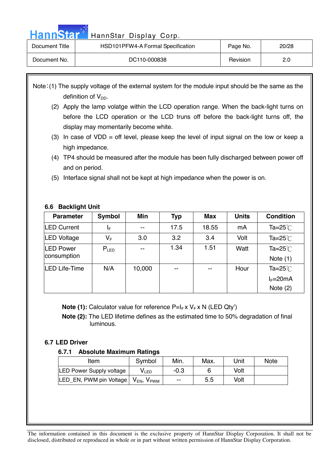Hann Star<sup>t HannStar</sup> Display Corp.

| Document Title | HSD101PFW4-A Formal Specification | Page No. | 20/28 |
|----------------|-----------------------------------|----------|-------|
| Document No.   | DC110-000838                      | Revision | 2.0   |

Note: (1) The supply voltage of the external system for the module input should be the same as the definition of  $V_{DD}$ .

- (2) Apply the lamp volatge within the LCD operation range. When the back-light turns on before the LCD operation or the LCD truns off before the back-light turns off, the display may momentarily become white.
- (3) In case of  $VDD =$  off level, please keep the level of input signal on the low or keep a high impedance.
- (4) TP4 should be measured after the module has been fully discharged between power off and on period.
- (5) Interface signal shall not be kept at high impedance when the power is on.

#### **6.6 Backlight Unit**

| <b>Parameter</b>                | Symbol                  | Min    | Typ   | <b>Max</b> | <b>Units</b> | <b>Condition</b>                 |
|---------------------------------|-------------------------|--------|-------|------------|--------------|----------------------------------|
| <b>LED Current</b>              | ΙF                      | $- -$  | 17.5  | 18.55      | mA           | Ta= $25^{\circ}$                 |
| <b>LED Voltage</b>              | $\mathsf{V}_\mathsf{F}$ | 3.0    | 3.2   | 3.4        | Volt         | Ta= $25^{\circ}$                 |
| <b>LED Power</b><br>consumption | $P_{LED}$               | --     | 1.34  | 1.51       | Watt         | Ta= $25^{\circ}$ C<br>Note $(1)$ |
| <b>ILED Life-Time</b>           | N/A                     | 10,000 | $- -$ | $- -$      | Hour         | Ta= $25^{\circ}$                 |
|                                 |                         |        |       |            |              | $I_F = 20mA$<br>Note $(2)$       |

**Note (1):** Calculator value for reference P=I<sub>F</sub> x V<sub>F</sub> x N (LED Qty')

 **Note (2):** The LED lifetime defines as the estimated time to 50% degradation of final luminous.

#### **6.7 LED Driver**

#### **6.7.1 Absolute Maximum Ratings**

| Item                            | Symbol                    | Min.  | Max. | <b>Jnit</b> | <b>Note</b> |
|---------------------------------|---------------------------|-------|------|-------------|-------------|
| <b>LED Power Supply voltage</b> | V LED                     | -0.3  |      | Volt        |             |
| LED EN, PWM pin Voltage         | $V_{EN}$<br>$V_{\rm PWM}$ | $- -$ | 5.5  | Volt        |             |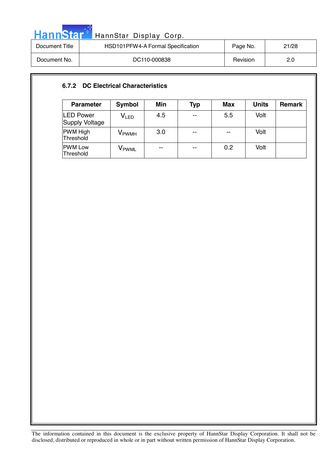| HannStar <sup>+</sup> | HannStar Display Corp.            |          |       |
|-----------------------|-----------------------------------|----------|-------|
| Document Title        | HSD101PFW4-A Formal Specification | Page No. | 21/28 |
| Document No.          | DC110-000838                      | Revision | 2.0   |

#### **6.7.2 DC Electrical Characteristics**

| <b>Parameter</b>                   | <b>Symbol</b>     | Min   | Typ   | <b>Max</b> | <b>Units</b> | <b>Remark</b> |
|------------------------------------|-------------------|-------|-------|------------|--------------|---------------|
| <b>LED Power</b><br>Supply Voltage | V <sub>LED</sub>  | 4.5   | $- -$ | 5.5        | Volt         |               |
| <b>PWM High</b><br>Threshold       | V <sub>PWMH</sub> | 3.0   | $- -$ | $- -$      | Volt         |               |
| <b>PWM Low</b><br>Threshold        | Vpwml             | $- -$ | $- -$ | 0.2        | Volt         |               |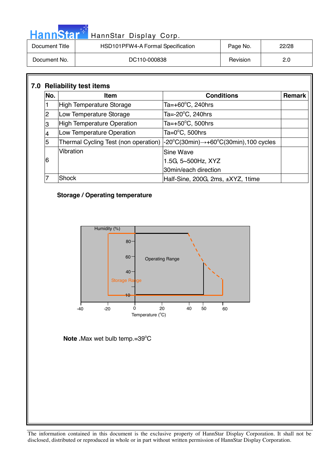| Hann <b>Star</b> | HannStar Display Corp.            |          |       |
|------------------|-----------------------------------|----------|-------|
| Document Title   | HSD101PFW4-A Formal Specification | Page No. | 22/28 |
| Document No.     | DC110-000838                      | Revision | 2.0   |

#### **7.0 Reliability test items No. Item Item Remark Conditions Remark** 1  $\parallel$  High Temperature Storage Ta= $+60^{\circ}$ C, 240hrs 2 |Low Temperature Storage Ta= $-20^{\circ}$ C, 240hrs 3 High Temperature Operation Ta= $+50^{\circ}$ C, 500hrs 4 | Low Temperature Operation  $Ta=0$ °C, 500hrs 5 | Thermal Cycling Test (non operation)  $C(30min) \rightarrow +60°C(30min)$ , 100 cycles 6 Vibration **Sine Wave** 1.5G, 5~500Hz, XYZ 30min/each direction 7 Shock Half-Sine, 200G, 2ms, ±XYZ, 1time

#### **Storage / Operating temperature**

n de A



Note .Max wet bulb temp.=39°C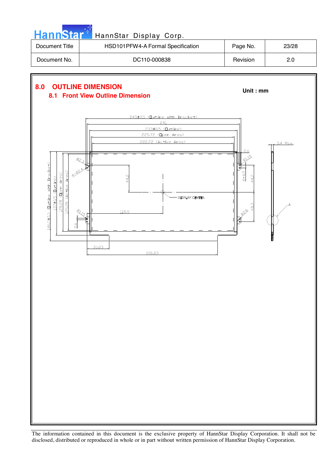| <b>HannStart</b> | HannStar Display Corp.                                              |            |       |
|------------------|---------------------------------------------------------------------|------------|-------|
| Document Title   | HSD101PFW4-A Formal Specification                                   | Page No.   | 23/28 |
| Document No.     | DC110-000838                                                        | Revision   | 2.0   |
|                  |                                                                     |            |       |
| 8.0              | <b>OUTLINE DIMENSION</b><br><b>8.1 Front View Outline Dimension</b> | Unit: $mm$ |       |
|                  | 245±0.5 (Outline with Bracket)                                      |            |       |

**DISPLAY CENTER** 

3.4 Max.

 $18.3$ 029

233±0.5 (Outline) 225.72 (Open Area) 222.72 (Active Area)

 $14.2$ 

119.5

206.03

146.5±0.5 (Dutline with Bracket)

 $137\pm0.5$  (Dutline)

125.28 (Active Area) 128.28 (Open Area)

Ŋ.

à.

35.03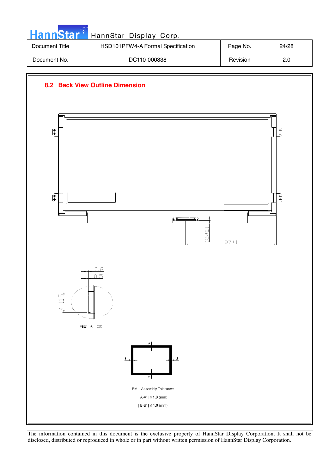| <b>HannStar</b> * | HannStar Display Corp.            |          |       |
|-------------------|-----------------------------------|----------|-------|
| Document Title    | HSD101PFW4-A Formal Specification | Page No. | 24/28 |
| Document No.      | DC110-000838                      | Revision | 2.0   |



The information contained in this document is the exclusive property of HannStar Display Corporation. It shall not be disclosed, distributed or reproduced in whole or in part without written permission of HannStar Display Corporation.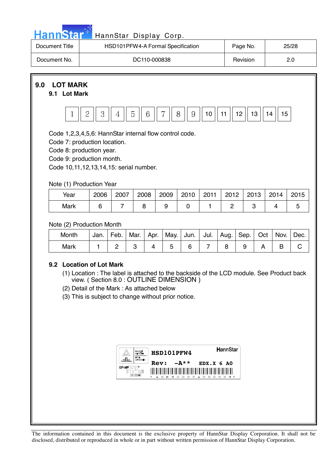

disclosed, distributed or reproduced in whole or in part without written permission of HannStar Display Corporation.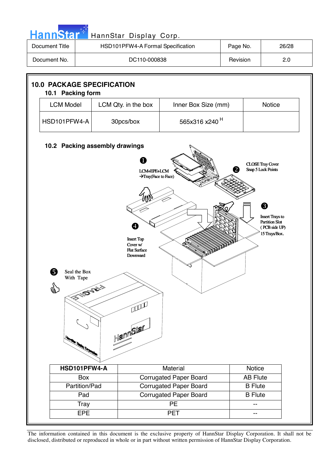

Tray | PE | --EPE | PET | --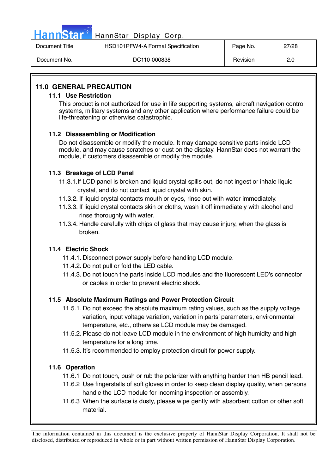| HannStar <sup>*</sup> | HannStar Display Corp.            |          |       |
|-----------------------|-----------------------------------|----------|-------|
| Document Title        | HSD101PFW4-A Formal Specification | Page No. | 27/28 |
| Document No.          | DC110-000838                      | Revision | 2.0   |

#### **11.0 GENERAL PRECAUTION**

#### **11.1 Use Restriction**

This product is not authorized for use in life supporting systems, aircraft navigation control systems, military systems and any other application where performance failure could be life-threatening or otherwise catastrophic.

#### **11.2 Disassembling or Modification**

 Do not disassemble or modify the module. It may damage sensitive parts inside LCD module, and may cause scratches or dust on the display. HannStar does not warrant the module, if customers disassemble or modify the module.

#### **11.3 Breakage of LCD Panel**

- 11.3.1.If LCD panel is broken and liquid crystal spills out, do not ingest or inhale liquid crystal, and do not contact liquid crystal with skin.
- 11.3.2. If liquid crystal contacts mouth or eyes, rinse out with water immediately.
- 11.3.3. If liquid crystal contacts skin or cloths, wash it off immediately with alcohol and rinse thoroughly with water.
- 11.3.4. Handle carefully with chips of glass that may cause injury, when the glass is broken.

#### **11.4 Electric Shock**

- 11.4.1. Disconnect power supply before handling LCD module.
- 11.4.2. Do not pull or fold the LED cable.
- 11.4.3. Do not touch the parts inside LCD modules and the fluorescent LED's connector or cables in order to prevent electric shock.

#### **11.5 Absolute Maximum Ratings and Power Protection Circuit**

- 11.5.1. Do not exceed the absolute maximum rating values, such as the supply voltage variation, input voltage variation, variation in parts' parameters, environmental temperature, etc., otherwise LCD module may be damaged.
- 11.5.2. Please do not leave LCD module in the environment of high humidity and high temperature for a long time.
- 11.5.3. It's recommended to employ protection circuit for power supply.

#### **11.6 Operation**

- 11.6.1 Do not touch, push or rub the polarizer with anything harder than HB pencil lead.
- 11.6.2 Use fingerstalls of soft gloves in order to keep clean display quality, when persons handle the LCD module for incoming inspection or assembly.
- 11.6.3 When the surface is dusty, please wipe gently with absorbent cotton or other soft material.